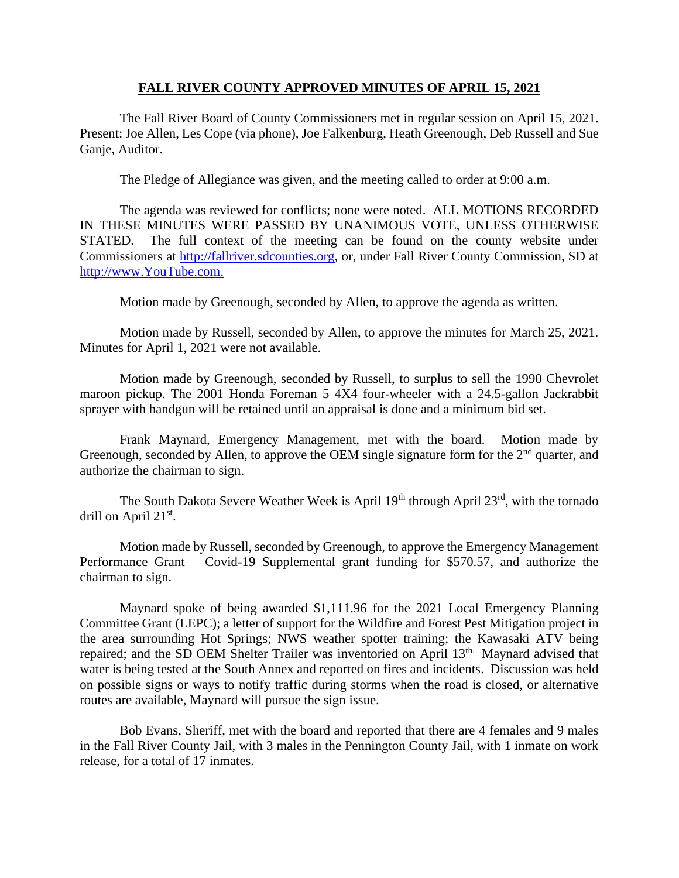## **FALL RIVER COUNTY APPROVED MINUTES OF APRIL 15, 2021**

The Fall River Board of County Commissioners met in regular session on April 15, 2021. Present: Joe Allen, Les Cope (via phone), Joe Falkenburg, Heath Greenough, Deb Russell and Sue Ganje, Auditor.

The Pledge of Allegiance was given, and the meeting called to order at 9:00 a.m.

The agenda was reviewed for conflicts; none were noted. ALL MOTIONS RECORDED IN THESE MINUTES WERE PASSED BY UNANIMOUS VOTE, UNLESS OTHERWISE STATED. The full context of the meeting can be found on the county website under Commissioners at [http://fallriver.sdcounties.org,](http://fallriver.sdcounties.org/) or, under Fall River County Commission, SD at [http://www.YouTube.com.](http://www.youtube.com/)

Motion made by Greenough, seconded by Allen, to approve the agenda as written.

Motion made by Russell, seconded by Allen, to approve the minutes for March 25, 2021. Minutes for April 1, 2021 were not available.

Motion made by Greenough, seconded by Russell, to surplus to sell the 1990 Chevrolet maroon pickup. The 2001 Honda Foreman 5 4X4 four-wheeler with a 24.5-gallon Jackrabbit sprayer with handgun will be retained until an appraisal is done and a minimum bid set.

Frank Maynard, Emergency Management, met with the board. Motion made by Greenough, seconded by Allen, to approve the OEM single signature form for the 2<sup>nd</sup> quarter, and authorize the chairman to sign.

The South Dakota Severe Weather Week is April 19<sup>th</sup> through April 23<sup>rd</sup>, with the tornado drill on April 21<sup>st</sup>.

Motion made by Russell, seconded by Greenough, to approve the Emergency Management Performance Grant – Covid-19 Supplemental grant funding for \$570.57, and authorize the chairman to sign.

Maynard spoke of being awarded \$1,111.96 for the 2021 Local Emergency Planning Committee Grant (LEPC); a letter of support for the Wildfire and Forest Pest Mitigation project in the area surrounding Hot Springs; NWS weather spotter training; the Kawasaki ATV being repaired; and the SD OEM Shelter Trailer was inventoried on April 13<sup>th.</sup> Maynard advised that water is being tested at the South Annex and reported on fires and incidents. Discussion was held on possible signs or ways to notify traffic during storms when the road is closed, or alternative routes are available, Maynard will pursue the sign issue.

Bob Evans, Sheriff, met with the board and reported that there are 4 females and 9 males in the Fall River County Jail, with 3 males in the Pennington County Jail, with 1 inmate on work release, for a total of 17 inmates.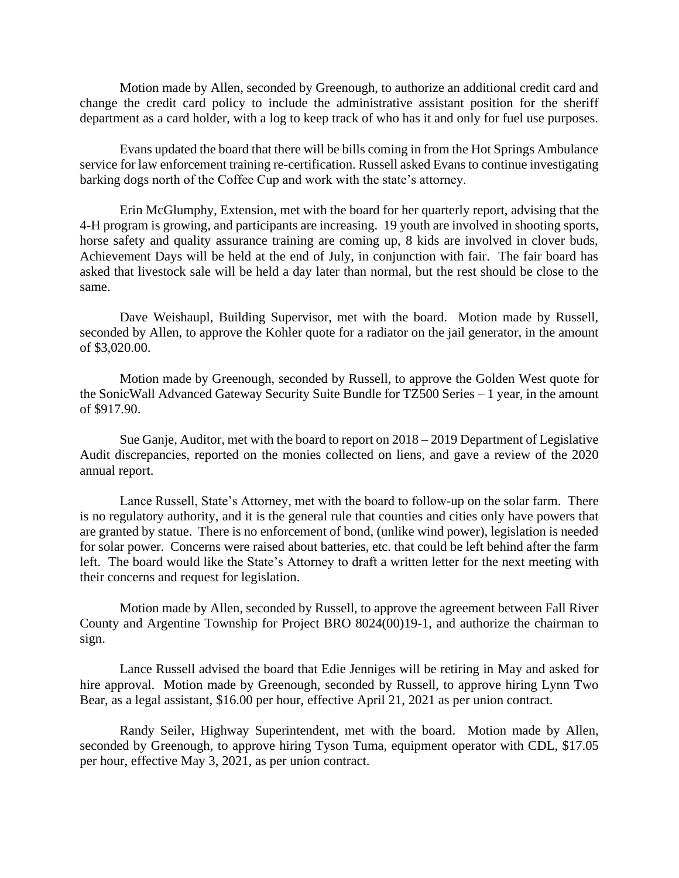Motion made by Allen, seconded by Greenough, to authorize an additional credit card and change the credit card policy to include the administrative assistant position for the sheriff department as a card holder, with a log to keep track of who has it and only for fuel use purposes.

Evans updated the board that there will be bills coming in from the Hot Springs Ambulance service for law enforcement training re-certification. Russell asked Evans to continue investigating barking dogs north of the Coffee Cup and work with the state's attorney.

Erin McGlumphy, Extension, met with the board for her quarterly report, advising that the 4-H program is growing, and participants are increasing. 19 youth are involved in shooting sports, horse safety and quality assurance training are coming up, 8 kids are involved in clover buds, Achievement Days will be held at the end of July, in conjunction with fair. The fair board has asked that livestock sale will be held a day later than normal, but the rest should be close to the same.

Dave Weishaupl, Building Supervisor, met with the board. Motion made by Russell, seconded by Allen, to approve the Kohler quote for a radiator on the jail generator, in the amount of \$3,020.00.

Motion made by Greenough, seconded by Russell, to approve the Golden West quote for the SonicWall Advanced Gateway Security Suite Bundle for TZ500 Series – 1 year, in the amount of \$917.90.

Sue Ganje, Auditor, met with the board to report on 2018 – 2019 Department of Legislative Audit discrepancies, reported on the monies collected on liens, and gave a review of the 2020 annual report.

Lance Russell, State's Attorney, met with the board to follow-up on the solar farm. There is no regulatory authority, and it is the general rule that counties and cities only have powers that are granted by statue. There is no enforcement of bond, (unlike wind power), legislation is needed for solar power. Concerns were raised about batteries, etc. that could be left behind after the farm left. The board would like the State's Attorney to draft a written letter for the next meeting with their concerns and request for legislation.

Motion made by Allen, seconded by Russell, to approve the agreement between Fall River County and Argentine Township for Project BRO 8024(00)19-1, and authorize the chairman to sign.

Lance Russell advised the board that Edie Jenniges will be retiring in May and asked for hire approval. Motion made by Greenough, seconded by Russell, to approve hiring Lynn Two Bear, as a legal assistant, \$16.00 per hour, effective April 21, 2021 as per union contract.

Randy Seiler, Highway Superintendent, met with the board. Motion made by Allen, seconded by Greenough, to approve hiring Tyson Tuma, equipment operator with CDL, \$17.05 per hour, effective May 3, 2021, as per union contract.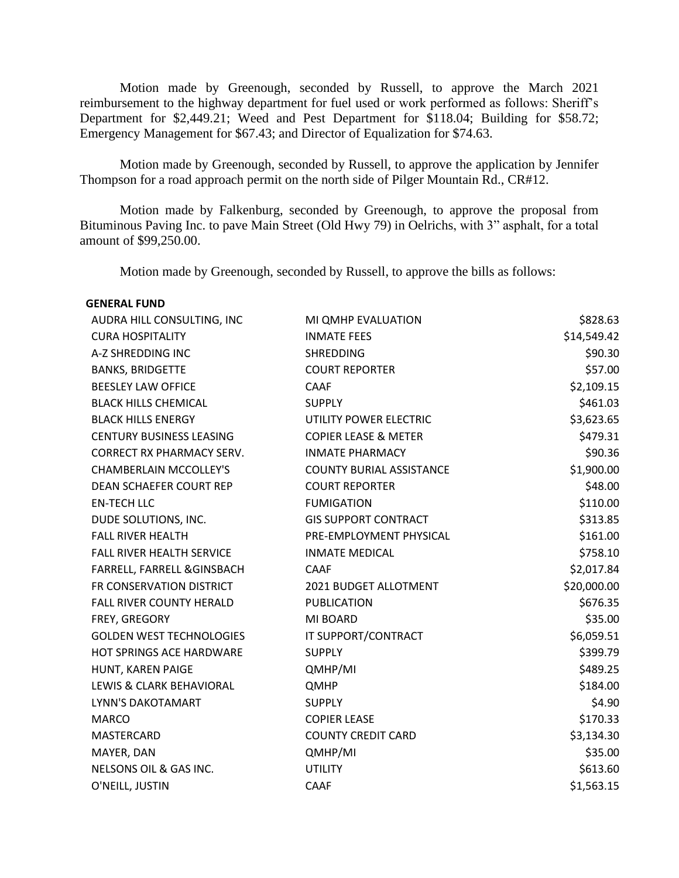Motion made by Greenough, seconded by Russell, to approve the March 2021 reimbursement to the highway department for fuel used or work performed as follows: Sheriff's Department for \$2,449.21; Weed and Pest Department for \$118.04; Building for \$58.72; Emergency Management for \$67.43; and Director of Equalization for \$74.63.

Motion made by Greenough, seconded by Russell, to approve the application by Jennifer Thompson for a road approach permit on the north side of Pilger Mountain Rd., CR#12.

Motion made by Falkenburg, seconded by Greenough, to approve the proposal from Bituminous Paving Inc. to pave Main Street (Old Hwy 79) in Oelrichs, with 3" asphalt, for a total amount of \$99,250.00.

Motion made by Greenough, seconded by Russell, to approve the bills as follows:

| <b>GENERAL FUND</b> |  |
|---------------------|--|
|---------------------|--|

| AUDRA HILL CONSULTING, INC       | MI QMHP EVALUATION              | \$828.63    |
|----------------------------------|---------------------------------|-------------|
| <b>CURA HOSPITALITY</b>          | <b>INMATE FEES</b>              | \$14,549.42 |
| A-Z SHREDDING INC                | <b>SHREDDING</b>                | \$90.30     |
| <b>BANKS, BRIDGETTE</b>          | <b>COURT REPORTER</b>           | \$57.00     |
| <b>BEESLEY LAW OFFICE</b>        | CAAF                            | \$2,109.15  |
| <b>BLACK HILLS CHEMICAL</b>      | <b>SUPPLY</b>                   | \$461.03    |
| <b>BLACK HILLS ENERGY</b>        | UTILITY POWER ELECTRIC          | \$3,623.65  |
| <b>CENTURY BUSINESS LEASING</b>  | <b>COPIER LEASE &amp; METER</b> | \$479.31    |
| <b>CORRECT RX PHARMACY SERV.</b> | <b>INMATE PHARMACY</b>          | \$90.36     |
| <b>CHAMBERLAIN MCCOLLEY'S</b>    | <b>COUNTY BURIAL ASSISTANCE</b> | \$1,900.00  |
| DEAN SCHAEFER COURT REP          | <b>COURT REPORTER</b>           | \$48.00     |
| <b>EN-TECH LLC</b>               | <b>FUMIGATION</b>               | \$110.00    |
| DUDE SOLUTIONS, INC.             | <b>GIS SUPPORT CONTRACT</b>     | \$313.85    |
| <b>FALL RIVER HEALTH</b>         | PRE-EMPLOYMENT PHYSICAL         | \$161.00    |
| FALL RIVER HEALTH SERVICE        | <b>INMATE MEDICAL</b>           | \$758.10    |
| FARRELL, FARRELL & GINSBACH      | CAAF                            | \$2,017.84  |
| FR CONSERVATION DISTRICT         | 2021 BUDGET ALLOTMENT           | \$20,000.00 |
| <b>FALL RIVER COUNTY HERALD</b>  | <b>PUBLICATION</b>              | \$676.35    |
| FREY, GREGORY                    | MI BOARD                        | \$35.00     |
| <b>GOLDEN WEST TECHNOLOGIES</b>  | IT SUPPORT/CONTRACT             | \$6,059.51  |
| <b>HOT SPRINGS ACE HARDWARE</b>  | <b>SUPPLY</b>                   | \$399.79    |
| HUNT, KAREN PAIGE                | QMHP/MI                         | \$489.25    |
| LEWIS & CLARK BEHAVIORAL         | <b>QMHP</b>                     | \$184.00    |
| LYNN'S DAKOTAMART                | <b>SUPPLY</b>                   | \$4.90      |
| <b>MARCO</b>                     | <b>COPIER LEASE</b>             | \$170.33    |
| MASTERCARD                       | <b>COUNTY CREDIT CARD</b>       | \$3,134.30  |
| MAYER, DAN                       | QMHP/MI                         | \$35.00     |
| NELSONS OIL & GAS INC.           | <b>UTILITY</b>                  | \$613.60    |
| O'NEILL, JUSTIN                  | <b>CAAF</b>                     | \$1,563.15  |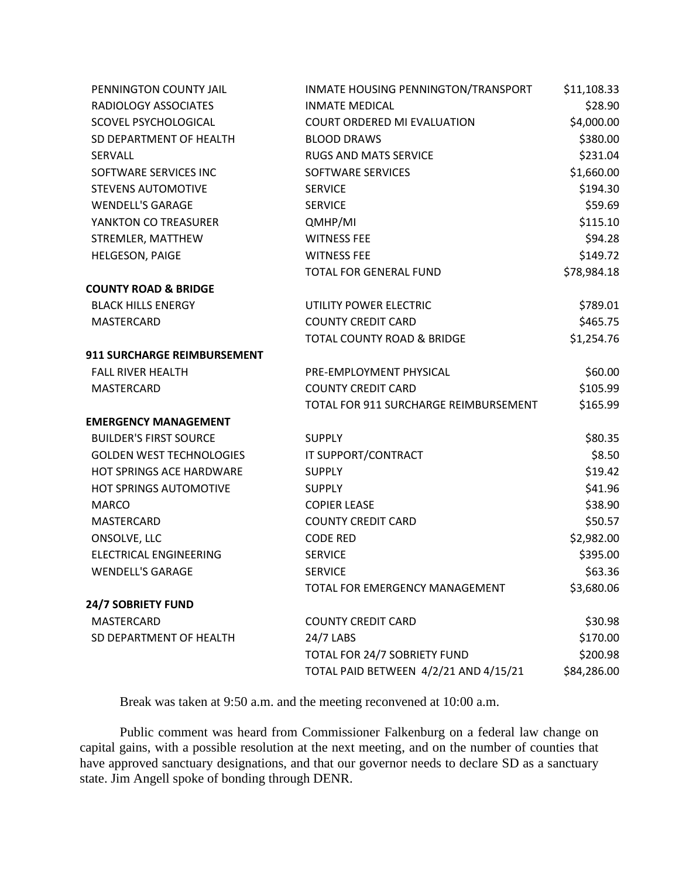| PENNINGTON COUNTY JAIL             | INMATE HOUSING PENNINGTON/TRANSPORT   | \$11,108.33 |
|------------------------------------|---------------------------------------|-------------|
| RADIOLOGY ASSOCIATES               | <b>INMATE MEDICAL</b>                 | \$28.90     |
| <b>SCOVEL PSYCHOLOGICAL</b>        | <b>COURT ORDERED MI EVALUATION</b>    | \$4,000.00  |
| SD DEPARTMENT OF HEALTH            | <b>BLOOD DRAWS</b>                    | \$380.00    |
| <b>SERVALL</b>                     | <b>RUGS AND MATS SERVICE</b>          | \$231.04    |
| SOFTWARE SERVICES INC              | SOFTWARE SERVICES                     | \$1,660.00  |
| <b>STEVENS AUTOMOTIVE</b>          | <b>SERVICE</b>                        | \$194.30    |
| <b>WENDELL'S GARAGE</b>            | <b>SERVICE</b>                        | \$59.69     |
| YANKTON CO TREASURER               | QMHP/MI                               | \$115.10    |
| STREMLER, MATTHEW                  | <b>WITNESS FEE</b>                    | \$94.28     |
| <b>HELGESON, PAIGE</b>             | <b>WITNESS FEE</b>                    | \$149.72    |
|                                    | TOTAL FOR GENERAL FUND                | \$78,984.18 |
| <b>COUNTY ROAD &amp; BRIDGE</b>    |                                       |             |
| <b>BLACK HILLS ENERGY</b>          | UTILITY POWER ELECTRIC                | \$789.01    |
| MASTERCARD                         | <b>COUNTY CREDIT CARD</b>             | \$465.75    |
|                                    | TOTAL COUNTY ROAD & BRIDGE            | \$1,254.76  |
| <b>911 SURCHARGE REIMBURSEMENT</b> |                                       |             |
| <b>FALL RIVER HEALTH</b>           | PRE-EMPLOYMENT PHYSICAL               | \$60.00     |
| MASTERCARD                         | <b>COUNTY CREDIT CARD</b>             | \$105.99    |
|                                    | TOTAL FOR 911 SURCHARGE REIMBURSEMENT | \$165.99    |
| <b>EMERGENCY MANAGEMENT</b>        |                                       |             |
| <b>BUILDER'S FIRST SOURCE</b>      | <b>SUPPLY</b>                         | \$80.35     |
| <b>GOLDEN WEST TECHNOLOGIES</b>    | IT SUPPORT/CONTRACT                   | \$8.50      |
| HOT SPRINGS ACE HARDWARE           | <b>SUPPLY</b>                         | \$19.42     |
| <b>HOT SPRINGS AUTOMOTIVE</b>      | <b>SUPPLY</b>                         | \$41.96     |
| <b>MARCO</b>                       | <b>COPIER LEASE</b>                   | \$38.90     |
| MASTERCARD                         | <b>COUNTY CREDIT CARD</b>             | \$50.57     |
| ONSOLVE, LLC                       | <b>CODE RED</b>                       | \$2,982.00  |
| ELECTRICAL ENGINEERING             | <b>SERVICE</b>                        | \$395.00    |
| <b>WENDELL'S GARAGE</b>            | <b>SERVICE</b>                        | \$63.36     |
|                                    | TOTAL FOR EMERGENCY MANAGEMENT        | \$3,680.06  |
| 24/7 SOBRIETY FUND                 |                                       |             |
| <b>MASTERCARD</b>                  | <b>COUNTY CREDIT CARD</b>             | \$30.98     |
| SD DEPARTMENT OF HEALTH            | 24/7 LABS                             | \$170.00    |
|                                    | TOTAL FOR 24/7 SOBRIETY FUND          | \$200.98    |
|                                    | TOTAL PAID BETWEEN 4/2/21 AND 4/15/21 | \$84,286.00 |
|                                    |                                       |             |

Break was taken at 9:50 a.m. and the meeting reconvened at 10:00 a.m.

Public comment was heard from Commissioner Falkenburg on a federal law change on capital gains, with a possible resolution at the next meeting, and on the number of counties that have approved sanctuary designations, and that our governor needs to declare SD as a sanctuary state. Jim Angell spoke of bonding through DENR.